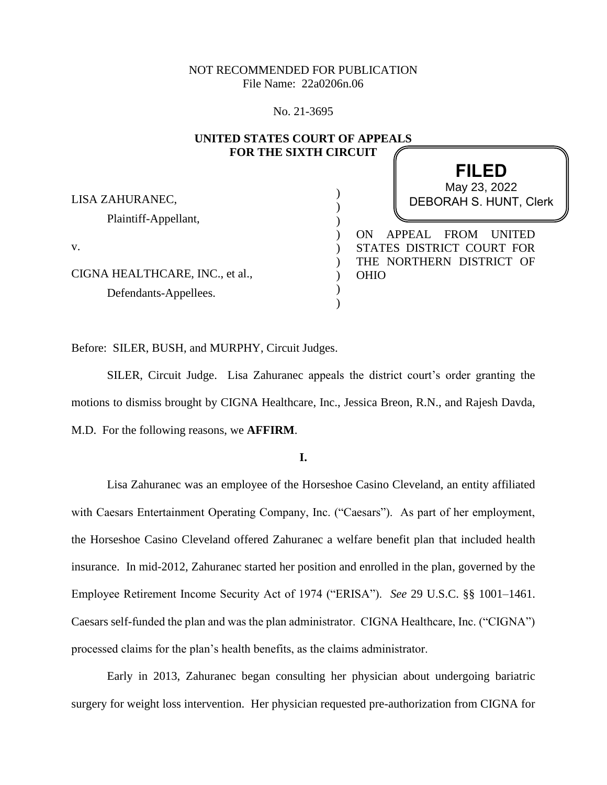# NOT RECOMMENDED FOR PUBLICATION File Name: 22a0206n.06

No. 21-3695

| UNITED STATES COURT OF APPEALS<br><b>FOR THE SIXTH CIRCUIT</b> |                                              |
|----------------------------------------------------------------|----------------------------------------------|
|                                                                |                                              |
|                                                                | May 23, 2022                                 |
| LISA ZAHURANEC,                                                | <b>DEBORAH S. HUNT, Clerk</b>                |
| Plaintiff-Appellant,                                           |                                              |
|                                                                | APPEAL<br><b>FROM</b><br><b>UNITED</b><br>ON |
| V.                                                             | STATES DISTRICT COURT FOR                    |
|                                                                | THE NORTHERN DISTRICT OF                     |
| CIGNA HEALTHCARE, INC., et al.,                                | <b>OHIO</b>                                  |
| Defendants-Appellees.                                          |                                              |
|                                                                |                                              |

Before: SILER, BUSH, and MURPHY, Circuit Judges.

SILER, Circuit Judge. Lisa Zahuranec appeals the district court's order granting the motions to dismiss brought by CIGNA Healthcare, Inc., Jessica Breon, R.N., and Rajesh Davda, M.D. For the following reasons, we **AFFIRM**.

**I.**

Lisa Zahuranec was an employee of the Horseshoe Casino Cleveland, an entity affiliated with Caesars Entertainment Operating Company, Inc. ("Caesars"). As part of her employment, the Horseshoe Casino Cleveland offered Zahuranec a welfare benefit plan that included health insurance. In mid-2012, Zahuranec started her position and enrolled in the plan, governed by the Employee Retirement Income Security Act of 1974 ("ERISA"). *See* 29 U.S.C. §§ 1001–1461. Caesars self-funded the plan and was the plan administrator. CIGNA Healthcare, Inc. ("CIGNA") processed claims for the plan's health benefits, as the claims administrator.

Early in 2013, Zahuranec began consulting her physician about undergoing bariatric surgery for weight loss intervention. Her physician requested pre-authorization from CIGNA for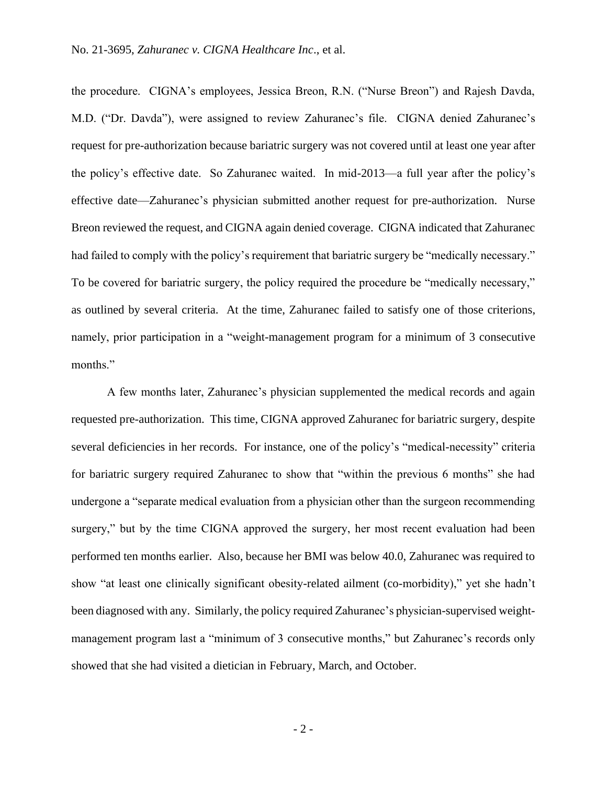the procedure. CIGNA's employees, Jessica Breon, R.N. ("Nurse Breon") and Rajesh Davda, M.D. ("Dr. Davda"), were assigned to review Zahuranec's file. CIGNA denied Zahuranec's request for pre-authorization because bariatric surgery was not covered until at least one year after the policy's effective date. So Zahuranec waited. In mid-2013—a full year after the policy's effective date—Zahuranec's physician submitted another request for pre-authorization. Nurse Breon reviewed the request, and CIGNA again denied coverage. CIGNA indicated that Zahuranec had failed to comply with the policy's requirement that bariatric surgery be "medically necessary." To be covered for bariatric surgery, the policy required the procedure be "medically necessary," as outlined by several criteria. At the time, Zahuranec failed to satisfy one of those criterions, namely, prior participation in a "weight-management program for a minimum of 3 consecutive months."

A few months later, Zahuranec's physician supplemented the medical records and again requested pre-authorization. This time, CIGNA approved Zahuranec for bariatric surgery, despite several deficiencies in her records. For instance, one of the policy's "medical-necessity" criteria for bariatric surgery required Zahuranec to show that "within the previous 6 months" she had undergone a "separate medical evaluation from a physician other than the surgeon recommending surgery," but by the time CIGNA approved the surgery, her most recent evaluation had been performed ten months earlier. Also, because her BMI was below 40.0, Zahuranec was required to show "at least one clinically significant obesity-related ailment (co-morbidity)," yet she hadn't been diagnosed with any. Similarly, the policy required Zahuranec's physician-supervised weightmanagement program last a "minimum of 3 consecutive months," but Zahuranec's records only showed that she had visited a dietician in February, March, and October.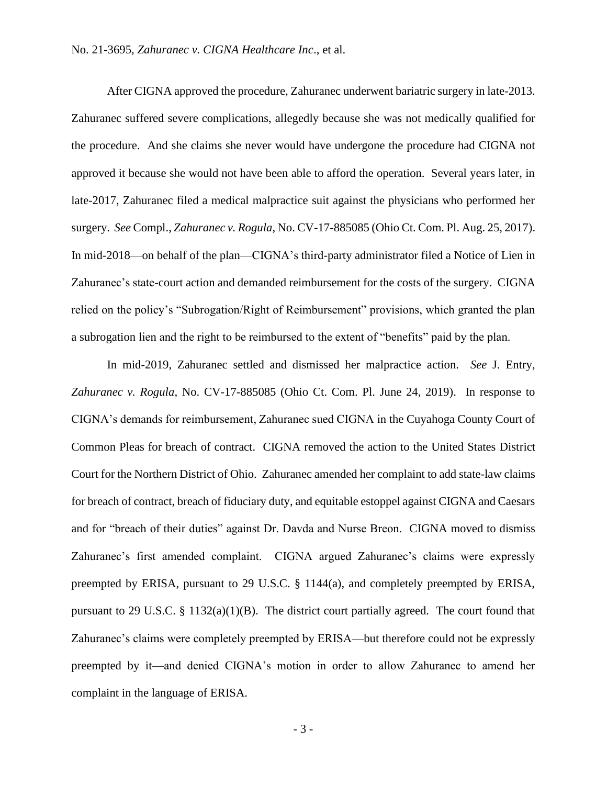After CIGNA approved the procedure, Zahuranec underwent bariatric surgery in late-2013. Zahuranec suffered severe complications, allegedly because she was not medically qualified for the procedure. And she claims she never would have undergone the procedure had CIGNA not approved it because she would not have been able to afford the operation. Several years later, in late-2017, Zahuranec filed a medical malpractice suit against the physicians who performed her surgery. *See* Compl., *Zahuranec v. Rogula*, No. CV-17-885085 (Ohio Ct. Com. Pl. Aug. 25, 2017). In mid-2018—on behalf of the plan—CIGNA's third-party administrator filed a Notice of Lien in Zahuranec's state-court action and demanded reimbursement for the costs of the surgery. CIGNA relied on the policy's "Subrogation/Right of Reimbursement" provisions, which granted the plan a subrogation lien and the right to be reimbursed to the extent of "benefits" paid by the plan.

In mid-2019, Zahuranec settled and dismissed her malpractice action. *See* J. Entry, *Zahuranec v. Rogula*, No. CV-17-885085 (Ohio Ct. Com. Pl. June 24, 2019). In response to CIGNA's demands for reimbursement, Zahuranec sued CIGNA in the Cuyahoga County Court of Common Pleas for breach of contract. CIGNA removed the action to the United States District Court for the Northern District of Ohio. Zahuranec amended her complaint to add state-law claims for breach of contract, breach of fiduciary duty, and equitable estoppel against CIGNA and Caesars and for "breach of their duties" against Dr. Davda and Nurse Breon. CIGNA moved to dismiss Zahuranec's first amended complaint. CIGNA argued Zahuranec's claims were expressly preempted by ERISA, pursuant to 29 U.S.C. § 1144(a), and completely preempted by ERISA, pursuant to 29 U.S.C. § 1132(a)(1)(B). The district court partially agreed. The court found that Zahuranec's claims were completely preempted by ERISA—but therefore could not be expressly preempted by it—and denied CIGNA's motion in order to allow Zahuranec to amend her complaint in the language of ERISA.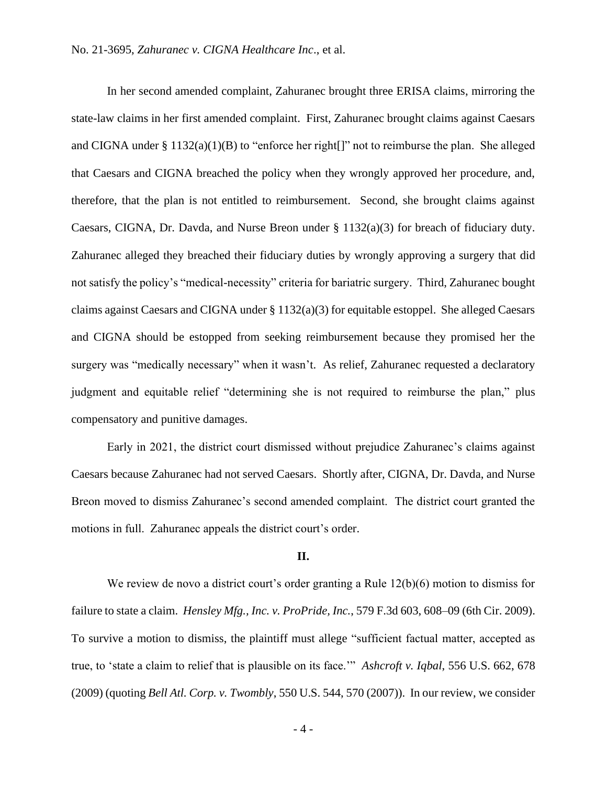In her second amended complaint, Zahuranec brought three ERISA claims, mirroring the state-law claims in her first amended complaint. First, Zahuranec brought claims against Caesars and CIGNA under § 1132(a)(1)(B) to "enforce her right[]" not to reimburse the plan. She alleged that Caesars and CIGNA breached the policy when they wrongly approved her procedure, and, therefore, that the plan is not entitled to reimbursement. Second, she brought claims against Caesars, CIGNA, Dr. Davda, and Nurse Breon under  $\S 1132(a)(3)$  for breach of fiduciary duty. Zahuranec alleged they breached their fiduciary duties by wrongly approving a surgery that did not satisfy the policy's "medical-necessity" criteria for bariatric surgery. Third, Zahuranec bought claims against Caesars and CIGNA under § 1132(a)(3) for equitable estoppel. She alleged Caesars and CIGNA should be estopped from seeking reimbursement because they promised her the surgery was "medically necessary" when it wasn't. As relief, Zahuranec requested a declaratory judgment and equitable relief "determining she is not required to reimburse the plan," plus compensatory and punitive damages.

Early in 2021, the district court dismissed without prejudice Zahuranec's claims against Caesars because Zahuranec had not served Caesars. Shortly after, CIGNA, Dr. Davda, and Nurse Breon moved to dismiss Zahuranec's second amended complaint. The district court granted the motions in full. Zahuranec appeals the district court's order.

# **II.**

We review de novo a district court's order granting a Rule 12(b)(6) motion to dismiss for failure to state a claim. *Hensley Mfg., Inc. v. ProPride, Inc.*, 579 F.3d 603, 608–09 (6th Cir. 2009). To survive a motion to dismiss, the plaintiff must allege "sufficient factual matter, accepted as true, to 'state a claim to relief that is plausible on its face.'" *Ashcroft v. Iqbal*, 556 U.S. 662, 678 (2009) (quoting *Bell Atl. Corp. v. Twombly*, 550 U.S. 544, 570 (2007)). In our review, we consider

- 4 -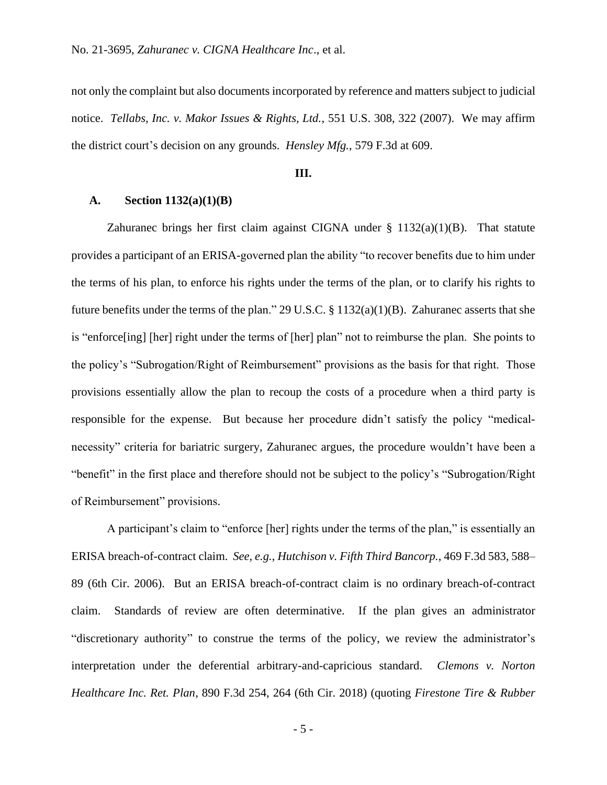not only the complaint but also documents incorporated by reference and matters subject to judicial notice. *Tellabs, Inc. v. Makor Issues & Rights, Ltd.*, 551 U.S. 308, 322 (2007). We may affirm the district court's decision on any grounds. *Hensley Mfg.*, 579 F.3d at 609.

#### **III.**

## **A. Section 1132(a)(1)(B)**

Zahuranec brings her first claim against CIGNA under  $\S$  1132(a)(1)(B). That statute provides a participant of an ERISA-governed plan the ability "to recover benefits due to him under the terms of his plan, to enforce his rights under the terms of the plan, or to clarify his rights to future benefits under the terms of the plan." 29 U.S.C. § 1132(a)(1)(B). Zahuranec asserts that she is "enforce[ing] [her] right under the terms of [her] plan" not to reimburse the plan. She points to the policy's "Subrogation/Right of Reimbursement" provisions as the basis for that right. Those provisions essentially allow the plan to recoup the costs of a procedure when a third party is responsible for the expense. But because her procedure didn't satisfy the policy "medicalnecessity" criteria for bariatric surgery, Zahuranec argues, the procedure wouldn't have been a "benefit" in the first place and therefore should not be subject to the policy's "Subrogation/Right of Reimbursement" provisions.

A participant's claim to "enforce [her] rights under the terms of the plan," is essentially an ERISA breach-of-contract claim. *See, e.g.*, *Hutchison v. Fifth Third Bancorp.*, 469 F.3d 583, 588– 89 (6th Cir. 2006). But an ERISA breach-of-contract claim is no ordinary breach-of-contract claim. Standards of review are often determinative. If the plan gives an administrator "discretionary authority" to construe the terms of the policy, we review the administrator's interpretation under the deferential arbitrary-and-capricious standard. *Clemons v. Norton Healthcare Inc. Ret. Plan*, 890 F.3d 254, 264 (6th Cir. 2018) (quoting *Firestone Tire & Rubber* 

- 5 -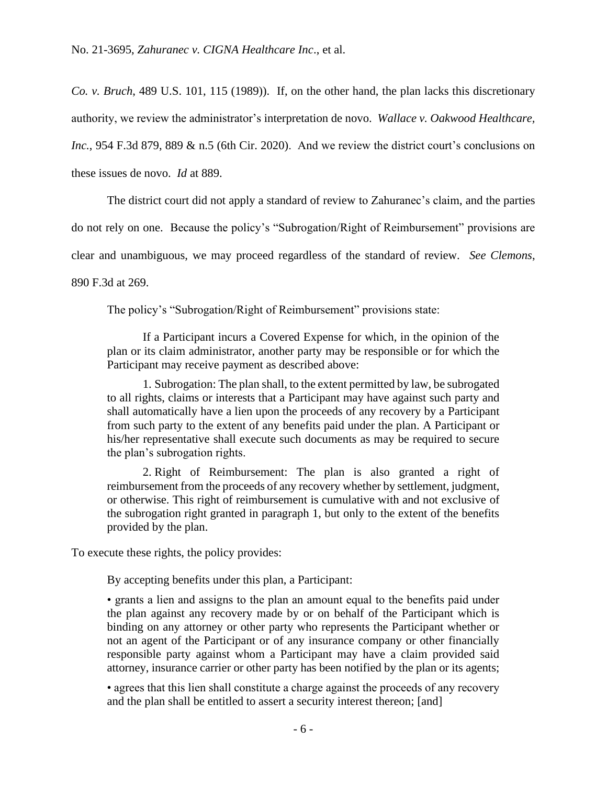*Co. v. Bruch*, 489 U.S. 101, 115 (1989)). If, on the other hand, the plan lacks this discretionary authority, we review the administrator's interpretation de novo. *Wallace v. Oakwood Healthcare, Inc.*, 954 F.3d 879, 889 & n.5 (6th Cir. 2020). And we review the district court's conclusions on these issues de novo. *Id* at 889.

The district court did not apply a standard of review to Zahuranec's claim, and the parties do not rely on one. Because the policy's "Subrogation/Right of Reimbursement" provisions are clear and unambiguous, we may proceed regardless of the standard of review. *See Clemons*, 890 F.3d at 269.

The policy's "Subrogation/Right of Reimbursement" provisions state:

If a Participant incurs a Covered Expense for which, in the opinion of the plan or its claim administrator, another party may be responsible or for which the Participant may receive payment as described above:

1. Subrogation: The plan shall, to the extent permitted by law, be subrogated to all rights, claims or interests that a Participant may have against such party and shall automatically have a lien upon the proceeds of any recovery by a Participant from such party to the extent of any benefits paid under the plan. A Participant or his/her representative shall execute such documents as may be required to secure the plan's subrogation rights.

2. Right of Reimbursement: The plan is also granted a right of reimbursement from the proceeds of any recovery whether by settlement, judgment, or otherwise. This right of reimbursement is cumulative with and not exclusive of the subrogation right granted in paragraph 1, but only to the extent of the benefits provided by the plan.

To execute these rights, the policy provides:

By accepting benefits under this plan, a Participant:

• grants a lien and assigns to the plan an amount equal to the benefits paid under the plan against any recovery made by or on behalf of the Participant which is binding on any attorney or other party who represents the Participant whether or not an agent of the Participant or of any insurance company or other financially responsible party against whom a Participant may have a claim provided said attorney, insurance carrier or other party has been notified by the plan or its agents;

• agrees that this lien shall constitute a charge against the proceeds of any recovery and the plan shall be entitled to assert a security interest thereon; [and]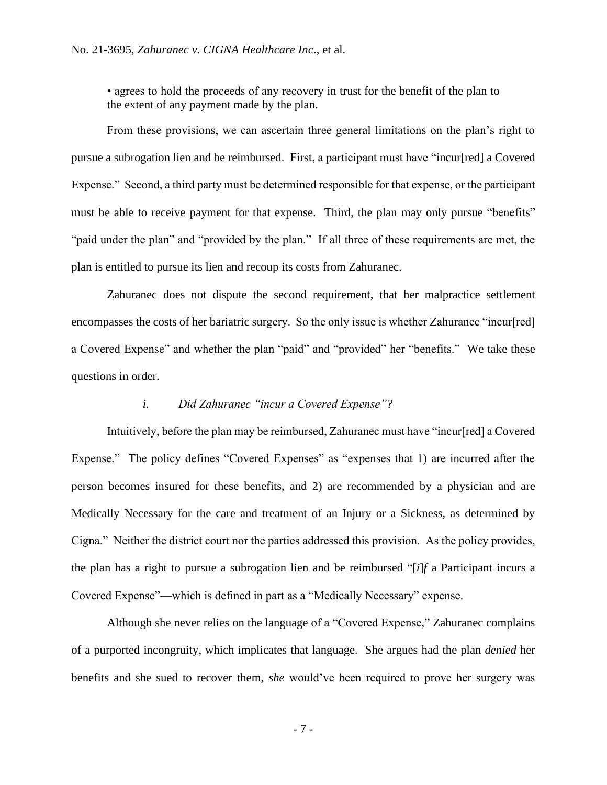• agrees to hold the proceeds of any recovery in trust for the benefit of the plan to the extent of any payment made by the plan.

From these provisions, we can ascertain three general limitations on the plan's right to pursue a subrogation lien and be reimbursed. First, a participant must have "incur[red] a Covered Expense." Second, a third party must be determined responsible for that expense, or the participant must be able to receive payment for that expense. Third, the plan may only pursue "benefits" "paid under the plan" and "provided by the plan." If all three of these requirements are met, the plan is entitled to pursue its lien and recoup its costs from Zahuranec.

Zahuranec does not dispute the second requirement, that her malpractice settlement encompasses the costs of her bariatric surgery. So the only issue is whether Zahuranec "incur[red] a Covered Expense" and whether the plan "paid" and "provided" her "benefits." We take these questions in order.

## *i. Did Zahuranec "incur a Covered Expense"?*

Intuitively, before the plan may be reimbursed, Zahuranec must have "incur[red] a Covered Expense." The policy defines "Covered Expenses" as "expenses that 1) are incurred after the person becomes insured for these benefits, and 2) are recommended by a physician and are Medically Necessary for the care and treatment of an Injury or a Sickness, as determined by Cigna." Neither the district court nor the parties addressed this provision. As the policy provides, the plan has a right to pursue a subrogation lien and be reimbursed "[*i*]*f* a Participant incurs a Covered Expense"—which is defined in part as a "Medically Necessary" expense.

Although she never relies on the language of a "Covered Expense," Zahuranec complains of a purported incongruity, which implicates that language. She argues had the plan *denied* her benefits and she sued to recover them, *she* would've been required to prove her surgery was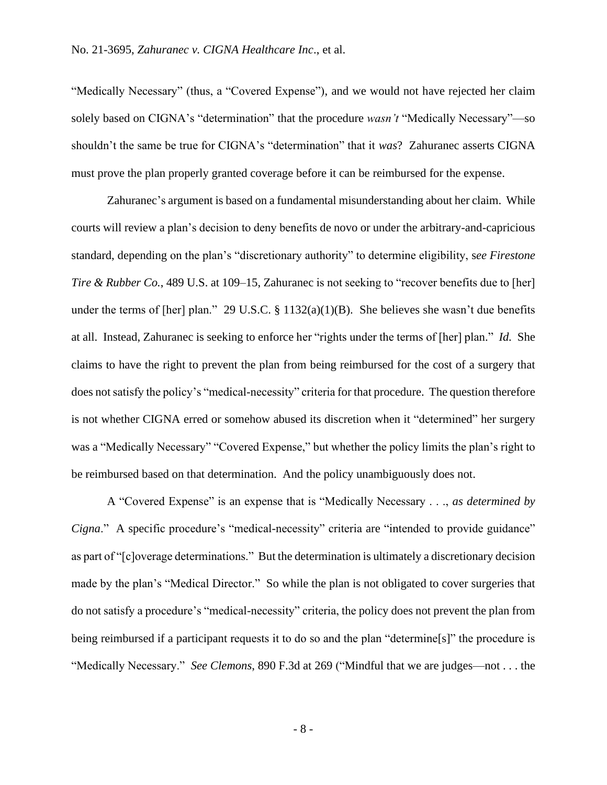"Medically Necessary" (thus, a "Covered Expense"), and we would not have rejected her claim solely based on CIGNA's "determination" that the procedure *wasn't* "Medically Necessary"—so shouldn't the same be true for CIGNA's "determination" that it *was*? Zahuranec asserts CIGNA must prove the plan properly granted coverage before it can be reimbursed for the expense.

Zahuranec's argument is based on a fundamental misunderstanding about her claim. While courts will review a plan's decision to deny benefits de novo or under the arbitrary-and-capricious standard, depending on the plan's "discretionary authority" to determine eligibility, s*ee Firestone Tire & Rubber Co.*, 489 U.S. at 109–15, Zahuranec is not seeking to "recover benefits due to [her] under the terms of [her] plan." 29 U.S.C. § 1132(a)(1)(B). She believes she wasn't due benefits at all. Instead, Zahuranec is seeking to enforce her "rights under the terms of [her] plan." *Id.* She claims to have the right to prevent the plan from being reimbursed for the cost of a surgery that does not satisfy the policy's "medical-necessity" criteria for that procedure. The question therefore is not whether CIGNA erred or somehow abused its discretion when it "determined" her surgery was a "Medically Necessary" "Covered Expense," but whether the policy limits the plan's right to be reimbursed based on that determination. And the policy unambiguously does not.

A "Covered Expense" is an expense that is "Medically Necessary . . ., *as determined by Cigna.*" A specific procedure's "medical-necessity" criteria are "intended to provide guidance" as part of "[c]overage determinations." But the determination is ultimately a discretionary decision made by the plan's "Medical Director." So while the plan is not obligated to cover surgeries that do not satisfy a procedure's "medical-necessity" criteria, the policy does not prevent the plan from being reimbursed if a participant requests it to do so and the plan "determine[s]" the procedure is "Medically Necessary." *See Clemons*, 890 F.3d at 269 ("Mindful that we are judges—not . . . the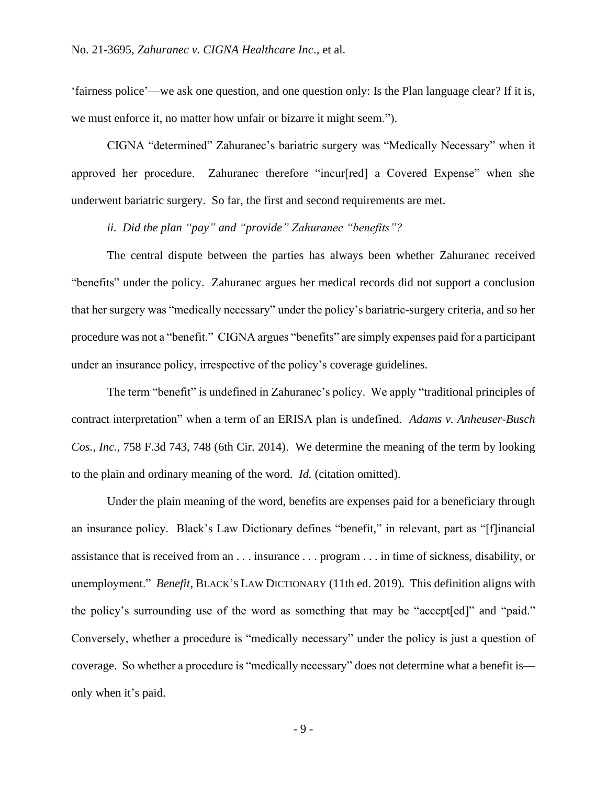'fairness police'—we ask one question, and one question only: Is the Plan language clear? If it is, we must enforce it, no matter how unfair or bizarre it might seem.").

CIGNA "determined" Zahuranec's bariatric surgery was "Medically Necessary" when it approved her procedure. Zahuranec therefore "incur[red] a Covered Expense" when she underwent bariatric surgery. So far, the first and second requirements are met.

*ii. Did the plan "pay" and "provide" Zahuranec "benefits"?*

The central dispute between the parties has always been whether Zahuranec received "benefits" under the policy. Zahuranec argues her medical records did not support a conclusion that her surgery was "medically necessary" under the policy's bariatric-surgery criteria, and so her procedure was not a "benefit." CIGNA argues "benefits" are simply expenses paid for a participant under an insurance policy, irrespective of the policy's coverage guidelines.

The term "benefit" is undefined in Zahuranec's policy. We apply "traditional principles of contract interpretation" when a term of an ERISA plan is undefined. *Adams v. Anheuser-Busch Cos., Inc.*, 758 F.3d 743, 748 (6th Cir. 2014). We determine the meaning of the term by looking to the plain and ordinary meaning of the word. *Id.* (citation omitted).

Under the plain meaning of the word, benefits are expenses paid for a beneficiary through an insurance policy. Black's Law Dictionary defines "benefit," in relevant, part as "[f]inancial assistance that is received from an . . . insurance . . . program . . . in time of sickness, disability, or unemployment." *Benefit*, BLACK'S LAW DICTIONARY (11th ed. 2019). This definition aligns with the policy's surrounding use of the word as something that may be "accept[ed]" and "paid." Conversely, whether a procedure is "medically necessary" under the policy is just a question of coverage. So whether a procedure is "medically necessary" does not determine what a benefit is only when it's paid.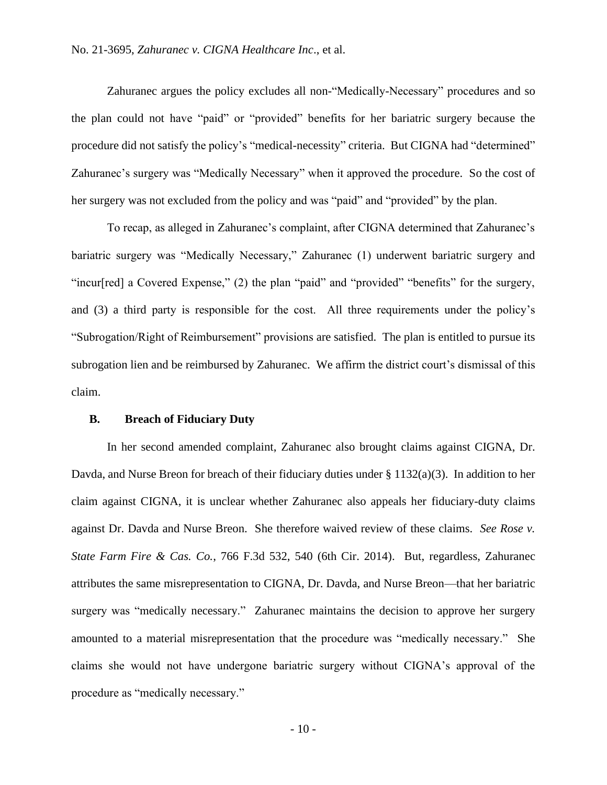Zahuranec argues the policy excludes all non-"Medically-Necessary" procedures and so the plan could not have "paid" or "provided" benefits for her bariatric surgery because the procedure did not satisfy the policy's "medical-necessity" criteria. But CIGNA had "determined" Zahuranec's surgery was "Medically Necessary" when it approved the procedure. So the cost of her surgery was not excluded from the policy and was "paid" and "provided" by the plan.

To recap, as alleged in Zahuranec's complaint, after CIGNA determined that Zahuranec's bariatric surgery was "Medically Necessary," Zahuranec (1) underwent bariatric surgery and "incur[red] a Covered Expense," (2) the plan "paid" and "provided" "benefits" for the surgery, and (3) a third party is responsible for the cost. All three requirements under the policy's "Subrogation/Right of Reimbursement" provisions are satisfied. The plan is entitled to pursue its subrogation lien and be reimbursed by Zahuranec. We affirm the district court's dismissal of this claim.

### **B. Breach of Fiduciary Duty**

In her second amended complaint, Zahuranec also brought claims against CIGNA, Dr. Davda, and Nurse Breon for breach of their fiduciary duties under § 1132(a)(3). In addition to her claim against CIGNA, it is unclear whether Zahuranec also appeals her fiduciary-duty claims against Dr. Davda and Nurse Breon. She therefore waived review of these claims. *See Rose v. State Farm Fire & Cas. Co.*, 766 F.3d 532, 540 (6th Cir. 2014). But, regardless, Zahuranec attributes the same misrepresentation to CIGNA, Dr. Davda, and Nurse Breon—that her bariatric surgery was "medically necessary." Zahuranec maintains the decision to approve her surgery amounted to a material misrepresentation that the procedure was "medically necessary." She claims she would not have undergone bariatric surgery without CIGNA's approval of the procedure as "medically necessary."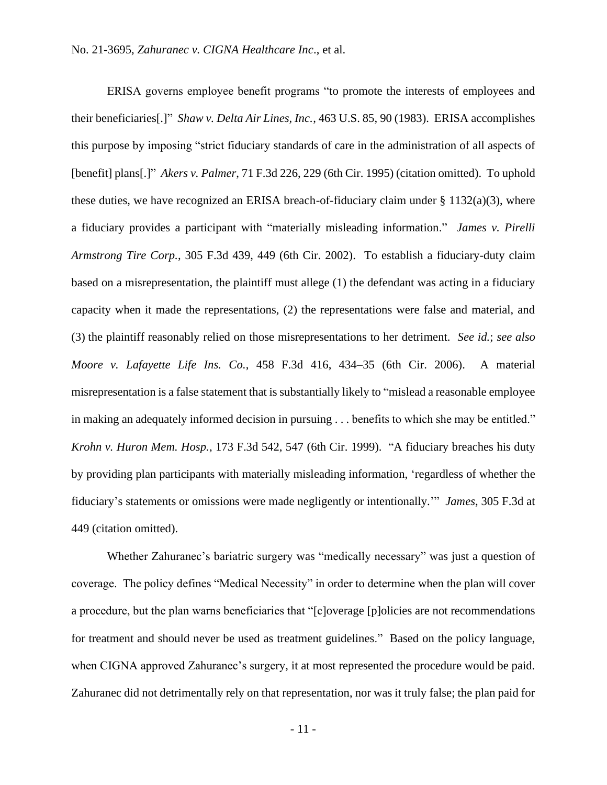ERISA governs employee benefit programs "to promote the interests of employees and their beneficiaries[.]" *Shaw v. Delta Air Lines, Inc.*, 463 U.S. 85, 90 (1983). ERISA accomplishes this purpose by imposing "strict fiduciary standards of care in the administration of all aspects of [benefit] plans[.]" *Akers v. Palmer*, 71 F.3d 226, 229 (6th Cir. 1995) (citation omitted). To uphold these duties, we have recognized an ERISA breach-of-fiduciary claim under  $\S 1132(a)(3)$ , where a fiduciary provides a participant with "materially misleading information." *James v. Pirelli Armstrong Tire Corp.*, 305 F.3d 439, 449 (6th Cir. 2002). To establish a fiduciary-duty claim based on a misrepresentation, the plaintiff must allege (1) the defendant was acting in a fiduciary capacity when it made the representations, (2) the representations were false and material, and (3) the plaintiff reasonably relied on those misrepresentations to her detriment. *See id.*; *see also Moore v. Lafayette Life Ins. Co.*, 458 F.3d 416, 434–35 (6th Cir. 2006). A material misrepresentation is a false statement that is substantially likely to "mislead a reasonable employee in making an adequately informed decision in pursuing . . . benefits to which she may be entitled." *Krohn v. Huron Mem. Hosp.*, 173 F.3d 542, 547 (6th Cir. 1999). "A fiduciary breaches his duty by providing plan participants with materially misleading information, 'regardless of whether the fiduciary's statements or omissions were made negligently or intentionally.'" *James*, 305 F.3d at 449 (citation omitted).

Whether Zahuranec's bariatric surgery was "medically necessary" was just a question of coverage. The policy defines "Medical Necessity" in order to determine when the plan will cover a procedure, but the plan warns beneficiaries that "[c]overage [p]olicies are not recommendations for treatment and should never be used as treatment guidelines." Based on the policy language, when CIGNA approved Zahuranec's surgery, it at most represented the procedure would be paid. Zahuranec did not detrimentally rely on that representation, nor was it truly false; the plan paid for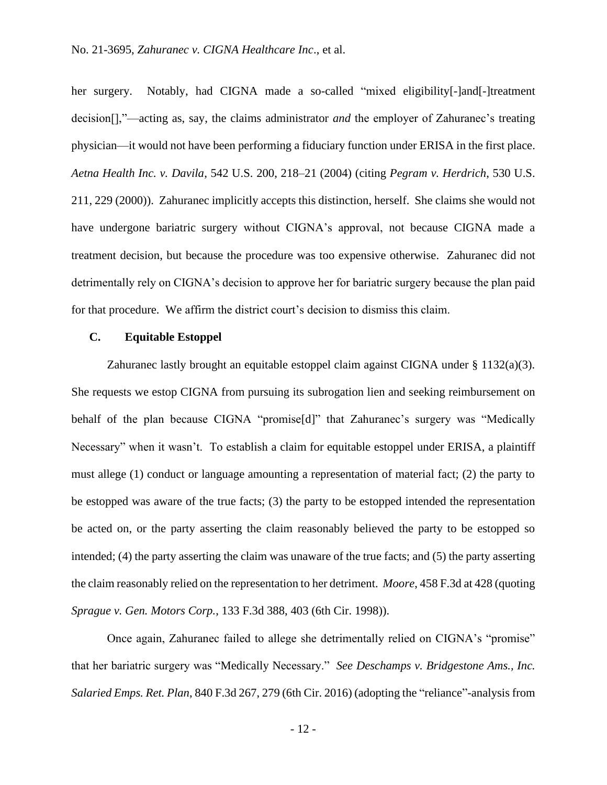her surgery. Notably, had CIGNA made a so-called "mixed eligibility[-]and[-]treatment decision[],"—acting as, say, the claims administrator *and* the employer of Zahuranec's treating physician—it would not have been performing a fiduciary function under ERISA in the first place. *Aetna Health Inc. v. Davila*, 542 U.S. 200, 218–21 (2004) (citing *Pegram v. Herdrich*, 530 U.S. 211, 229 (2000)). Zahuranec implicitly accepts this distinction, herself. She claims she would not have undergone bariatric surgery without CIGNA's approval, not because CIGNA made a treatment decision, but because the procedure was too expensive otherwise. Zahuranec did not detrimentally rely on CIGNA's decision to approve her for bariatric surgery because the plan paid for that procedure. We affirm the district court's decision to dismiss this claim.

## **C. Equitable Estoppel**

Zahuranec lastly brought an equitable estoppel claim against CIGNA under § 1132(a)(3). She requests we estop CIGNA from pursuing its subrogation lien and seeking reimbursement on behalf of the plan because CIGNA "promise[d]" that Zahuranec's surgery was "Medically Necessary" when it wasn't. To establish a claim for equitable estoppel under ERISA, a plaintiff must allege (1) conduct or language amounting a representation of material fact; (2) the party to be estopped was aware of the true facts; (3) the party to be estopped intended the representation be acted on, or the party asserting the claim reasonably believed the party to be estopped so intended; (4) the party asserting the claim was unaware of the true facts; and (5) the party asserting the claim reasonably relied on the representation to her detriment. *Moore*, 458 F.3d at 428 (quoting *Sprague v. Gen. Motors Corp.*, 133 F.3d 388, 403 (6th Cir. 1998)).

Once again, Zahuranec failed to allege she detrimentally relied on CIGNA's "promise" that her bariatric surgery was "Medically Necessary." *See Deschamps v. Bridgestone Ams., Inc. Salaried Emps. Ret. Plan*, 840 F.3d 267, 279 (6th Cir. 2016) (adopting the "reliance"-analysis from

- 12 -